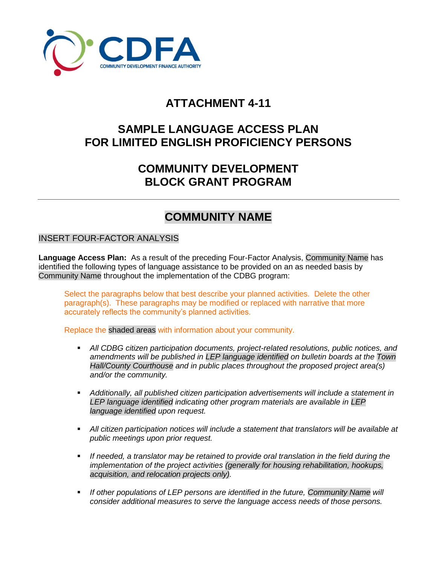

### **ATTACHMENT 4-11**

# **SAMPLE LANGUAGE ACCESS PLAN FOR LIMITED ENGLISH PROFICIENCY PERSONS**

## **COMMUNITY DEVELOPMENT BLOCK GRANT PROGRAM**

# **COMMUNITY NAME**

#### INSERT FOUR-FACTOR ANALYSIS

**Language Access Plan:** As a result of the preceding Four-Factor Analysis, Community Name has identified the following types of language assistance to be provided on an as needed basis by Community Name throughout the implementation of the CDBG program:

Select the paragraphs below that best describe your planned activities. Delete the other paragraph(s). These paragraphs may be modified or replaced with narrative that more accurately reflects the community's planned activities.

Replace the shaded areas with information about your community.

- *All CDBG citizen participation documents, project-related resolutions, public notices, and amendments will be published in LEP language identified on bulletin boards at the Town Hall/County Courthouse and in public places throughout the proposed project area(s) and/or the community.*
- *Additionally, all published citizen participation advertisements will include a statement in LEP language identified indicating other program materials are available in LEP language identified upon request.*
- **•** All citizen participation notices will include a statement that translators will be available at *public meetings upon prior request.*
- **If needed, a translator may be retained to provide oral translation in the field during the** *implementation of the project activities (generally for housing rehabilitation, hookups, acquisition, and relocation projects only).*
- *If other populations of LEP persons are identified in the future, Community Name will consider additional measures to serve the language access needs of those persons.*